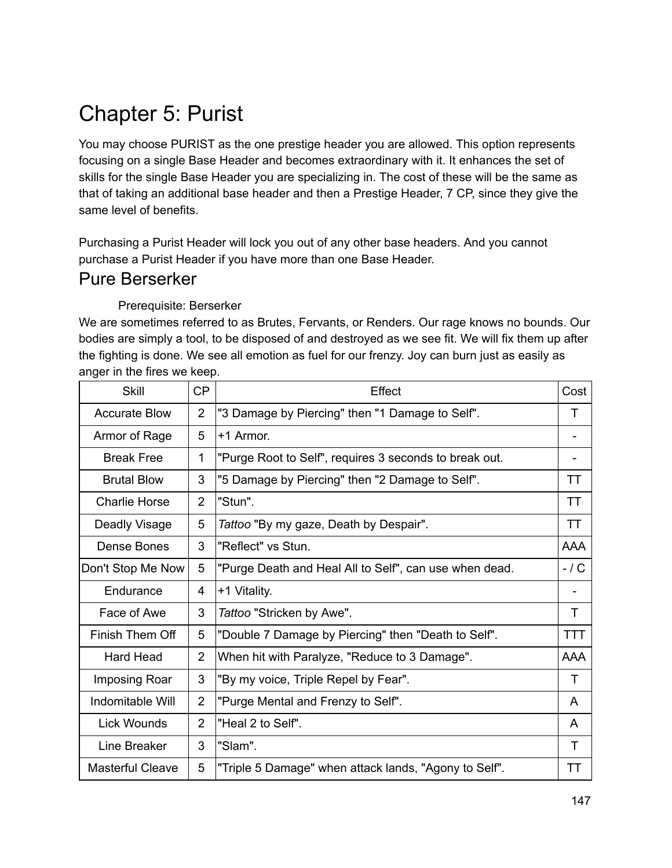# Chapter 5: Purist

You may choose PURIST as the one prestige header you are allowed. This option represents focusing on a single Base Header and becomes extraordinary with it. It enhances the set of skills for the single Base Header you are specializing in. The cost of these will be the same as that of taking an additional base header and then a Prestige Header, 7 CP, since they give the same level of benefits.

Purchasing a Purist Header will lock you out of any other base headers. And you cannot purchase a Purist Header if you have more than one Base Header.

### Pure Berserker

#### Prerequisite: Berserker

We are sometimes referred to as Brutes, Fervants, or Renders. Our rage knows no bounds. Our bodies are simply a tool, to be disposed of and destroyed as we see fit. We will fix them up after the fighting is done. We see all emotion as fuel for our frenzy. Joy can burn just as easily as anger in the fires we keep.

| <b>Skill</b>            | <b>CP</b>      | Effect                                                 | Cost       |
|-------------------------|----------------|--------------------------------------------------------|------------|
| <b>Accurate Blow</b>    | $\overline{2}$ | "3 Damage by Piercing" then "1 Damage to Self".        | т          |
| Armor of Rage           | 5              | +1 Armor.                                              |            |
| <b>Break Free</b>       | $\mathbf{1}$   | "Purge Root to Self", requires 3 seconds to break out. |            |
| <b>Brutal Blow</b>      | 3              | "5 Damage by Piercing" then "2 Damage to Self".        | ТT         |
| <b>Charlie Horse</b>    | $\overline{2}$ | "Stun".                                                | TТ         |
| Deadly Visage           | 5              | Tattoo "By my gaze, Death by Despair".                 | ТT         |
| Dense Bones             | 3              | "Reflect" vs Stun.                                     | <b>AAA</b> |
| Don't Stop Me Now       | 5              | "Purge Death and Heal All to Self", can use when dead. | $-1C$      |
| Endurance               | 4              | +1 Vitality.                                           |            |
| Face of Awe             | 3              | Tattoo "Stricken by Awe".                              | Τ          |
| Finish Them Off         | 5              | "Double 7 Damage by Piercing" then "Death to Self".    | <b>TTT</b> |
| <b>Hard Head</b>        | $\overline{2}$ | When hit with Paralyze, "Reduce to 3 Damage".          | <b>AAA</b> |
| Imposing Roar           | 3              | "By my voice, Triple Repel by Fear".                   | T          |
| Indomitable Will        | $\overline{2}$ | "Purge Mental and Frenzy to Self".                     | A          |
| <b>Lick Wounds</b>      | $\overline{2}$ | "Heal 2 to Self".                                      | A          |
| Line Breaker            | 3              | "Slam".                                                | Т          |
| <b>Masterful Cleave</b> | 5              | "Triple 5 Damage" when attack lands, "Agony to Self".  | TТ         |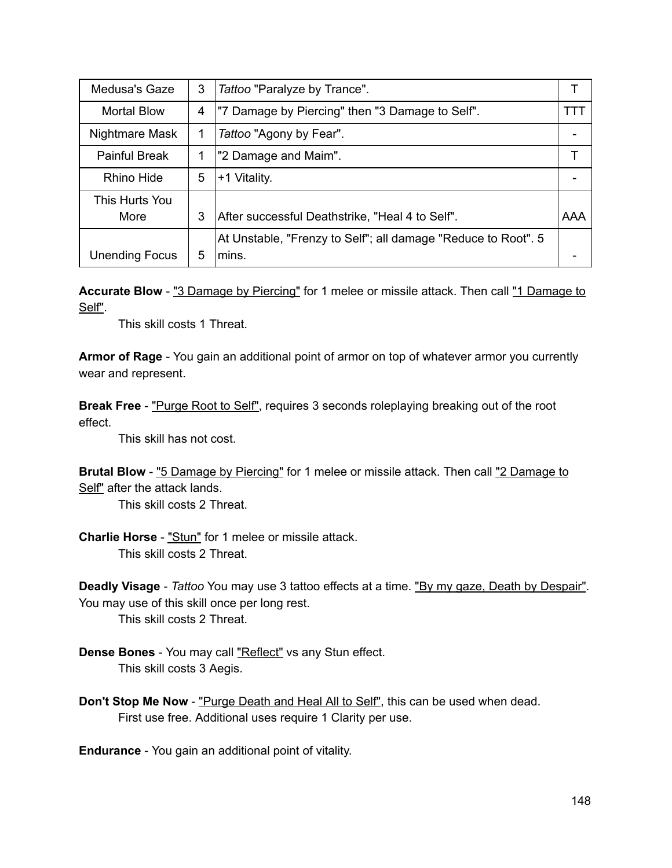| Medusa's Gaze          | 3 | Tattoo "Paralyze by Trance".                                           |     |
|------------------------|---|------------------------------------------------------------------------|-----|
| <b>Mortal Blow</b>     | 4 | "7 Damage by Piercing" then "3 Damage to Self".                        | TT. |
| Nightmare Mask         | 1 | Tattoo "Agony by Fear".                                                |     |
| <b>Painful Break</b>   |   | "2 Damage and Maim".                                                   |     |
| Rhino Hide             | 5 | +1 Vitality.                                                           |     |
| This Hurts You<br>More | 3 | After successful Deathstrike, "Heal 4 to Self".                        | AAA |
| <b>Unending Focus</b>  | 5 | At Unstable, "Frenzy to Self"; all damage "Reduce to Root". 5<br>mins. |     |

Accurate Blow - "3 Damage by Piercing" for 1 melee or missile attack. Then call "1 Damage to Self".

This skill costs 1 Threat.

**Armor of Rage** You gain an additional point of armor on top of whatever armor you currently wear and represent.

**Break Free** - "Purge Root to Self", requires 3 seconds roleplaying breaking out of the root effect.

This skill has not cost.

**Brutal Blow** - "5 Damage by Piercing" for 1 melee or missile attack. Then call "2 Damage to Self" after the attack lands.

This skill costs 2 Threat.

**Charlie Horse** "Stun" for 1 melee or missile attack. This skill costs 2 Threat.

**Deadly Visage** *Tattoo* You may use 3 tattoo effects at a time. "By my gaze, Death by Despair". You may use of this skill once per long rest.

This skill costs 2 Threat.

- **Dense Bones** You may call "Reflect" vs any Stun effect. This skill costs 3 Aegis.
- **Don't Stop Me Now** "Purge Death and Heal All to Self", this can be used when dead. First use free. Additional uses require 1 Clarity per use.

**Endurance** - You gain an additional point of vitality.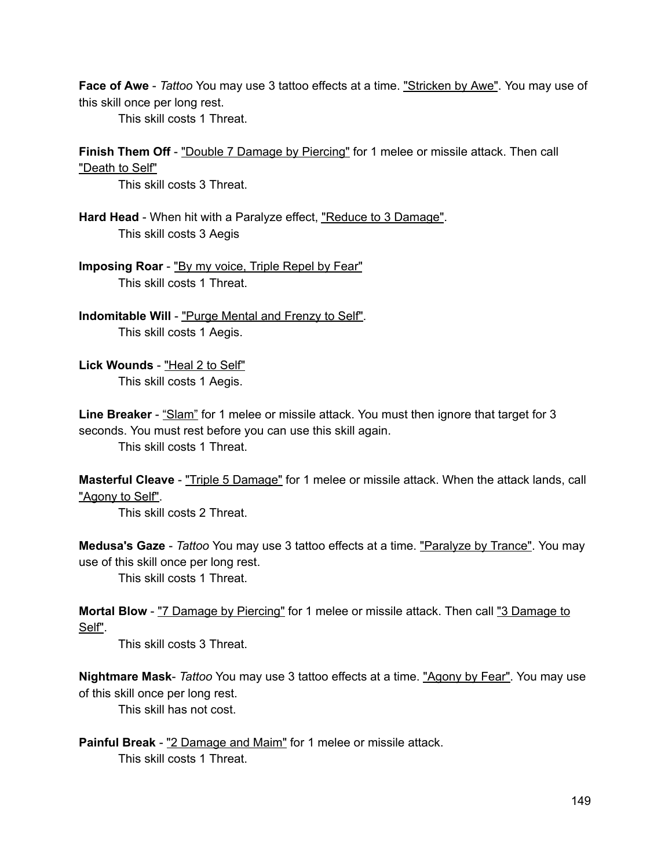**Face of Awe** *Tattoo* You may use 3 tattoo effects at a time. "Stricken by Awe". You may use of this skill once per long rest.

This skill costs 1 Threat.

**Finish Them Off** - "Double 7 Damage by Piercing" for 1 melee or missile attack. Then call "Death to Self"

This skill costs 3 Threat.

Hard Head - When hit with a Paralyze effect, "Reduce to 3 Damage". This skill costs 3 Aegis

**Imposing Roar** - "By my voice, Triple Repel by Fear" This skill costs 1 Threat.

**Indomitable Will** "Purge Mental and Frenzy to Self". This skill costs 1 Aegis.

Lick Wounds - "Heal 2 to Self" This skill costs 1 Aegis.

**Line Breaker** - "Slam" for 1 melee or missile attack. You must then ignore that target for 3 seconds. You must rest before you can use this skill again. This skill costs 1 Threat.

**Masterful Cleave** "Triple 5 Damage" for 1 melee or missile attack. When the attack lands, call "Agony to Self".

This skill costs 2 Threat.

**Medusa's Gaze** *Tattoo* You may use 3 tattoo effects at a time. "Paralyze by Trance". You may use of this skill once per long rest.

This skill costs 1 Threat.

**Mortal Blow** - "7 Damage by Piercing" for 1 melee or missile attack. Then call "3 Damage to Self".

This skill costs 3 Threat.

**Nightmare Mask** *Tattoo* You may use 3 tattoo effects at a time. "Agony by Fear". You may use of this skill once per long rest.

This skill has not cost.

**Painful Break** "2 Damage and Maim" for 1 melee or missile attack. This skill costs 1 Threat.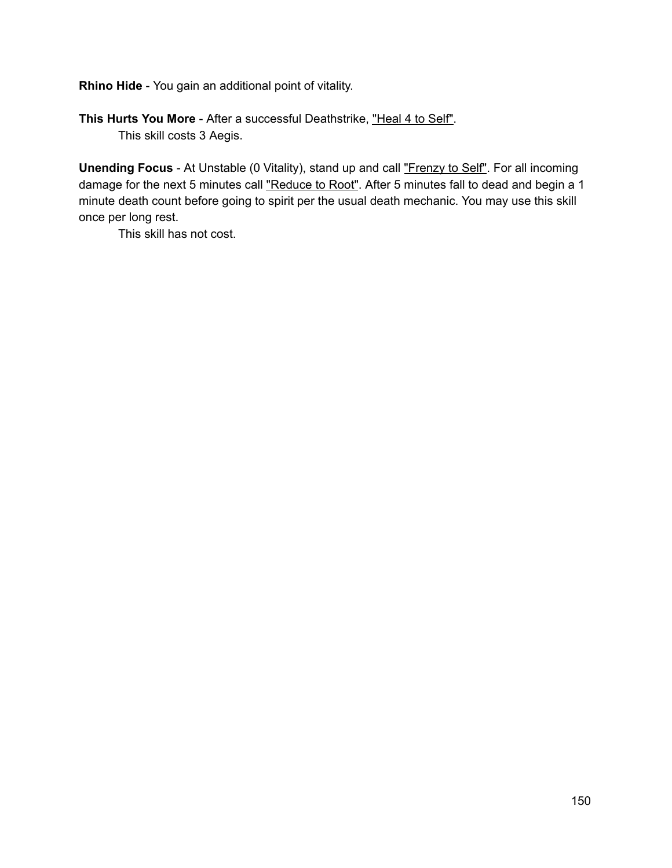**Rhino Hide** - You gain an additional point of vitality.

**This Hurts You More** After a successful Deathstrike, "Heal 4 to Self". This skill costs 3 Aegis.

**Unending Focus** - At Unstable (0 Vitality), stand up and call "Frenzy to Self". For all incoming damage for the next 5 minutes call "Reduce to Root". After 5 minutes fall to dead and begin a 1 minute death count before going to spirit per the usual death mechanic. You may use this skill once per long rest.

This skill has not cost.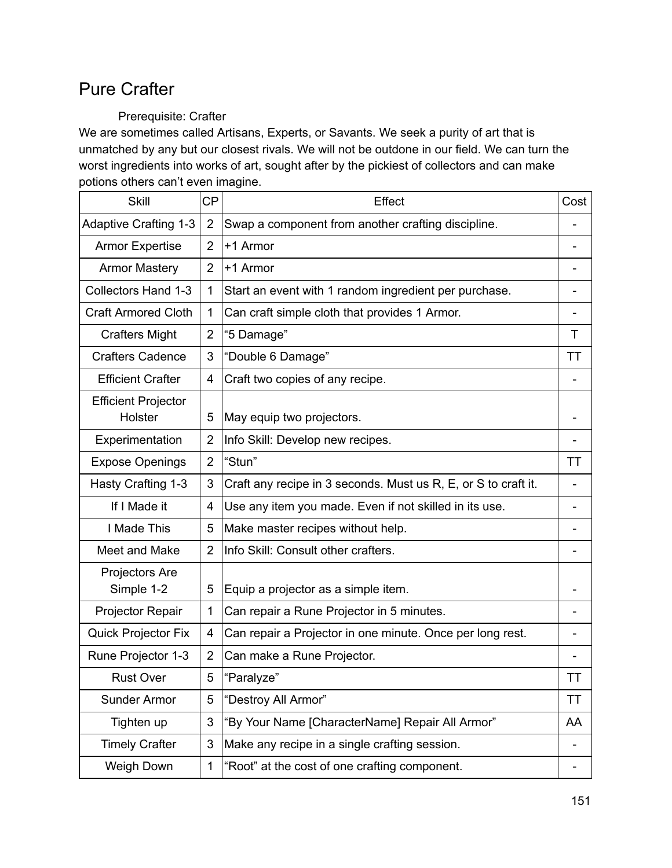# Pure Crafter

### Prerequisite: Crafter

We are sometimes called Artisans, Experts, or Savants. We seek a purity of art that is unmatched by any but our closest rivals. We will not be outdone in our field. We can turn the worst ingredients into works of art, sought after by the pickiest of collectors and can make potions others can't even imagine.

| <b>Skill</b>                 | <b>CP</b>      | Effect                                                         | Cost |
|------------------------------|----------------|----------------------------------------------------------------|------|
| <b>Adaptive Crafting 1-3</b> | $\overline{2}$ | Swap a component from another crafting discipline.             |      |
| <b>Armor Expertise</b>       | $\overline{2}$ | +1 Armor                                                       |      |
| <b>Armor Mastery</b>         | $\overline{2}$ | +1 Armor                                                       |      |
| <b>Collectors Hand 1-3</b>   | 1              | Start an event with 1 random ingredient per purchase.          |      |
| <b>Craft Armored Cloth</b>   | 1              | Can craft simple cloth that provides 1 Armor.                  |      |
| <b>Crafters Might</b>        | $\overline{2}$ | "5 Damage"                                                     | Т    |
| <b>Crafters Cadence</b>      | 3              | "Double 6 Damage"                                              | ТT   |
| <b>Efficient Crafter</b>     | 4              | Craft two copies of any recipe.                                |      |
| <b>Efficient Projector</b>   |                |                                                                |      |
| Holster                      | 5              | May equip two projectors.                                      |      |
| Experimentation              | 2              | Info Skill: Develop new recipes.                               |      |
| <b>Expose Openings</b>       | $\overline{2}$ | "Stun"                                                         | TТ   |
| Hasty Crafting 1-3           | 3              | Craft any recipe in 3 seconds. Must us R, E, or S to craft it. |      |
| If I Made it                 | 4              | Use any item you made. Even if not skilled in its use.         |      |
| I Made This                  | 5              | Make master recipes without help.                              |      |
| Meet and Make                | $\overline{2}$ | Info Skill: Consult other crafters.                            |      |
| Projectors Are               |                |                                                                |      |
| Simple 1-2                   | 5              | Equip a projector as a simple item.                            |      |
| Projector Repair             | 1              | Can repair a Rune Projector in 5 minutes.                      |      |
| <b>Quick Projector Fix</b>   | 4              | Can repair a Projector in one minute. Once per long rest.      |      |
| Rune Projector 1-3           | $\overline{2}$ | Can make a Rune Projector.                                     |      |
| <b>Rust Over</b>             | 5              | "Paralyze"                                                     | ТT   |
| Sunder Armor                 | 5              | "Destroy All Armor"                                            | ТT   |
| Tighten up                   | 3              | "By Your Name [CharacterName] Repair All Armor"                | AA   |
| <b>Timely Crafter</b>        | 3              | Make any recipe in a single crafting session.                  |      |
| Weigh Down                   | 1              | "Root" at the cost of one crafting component.                  |      |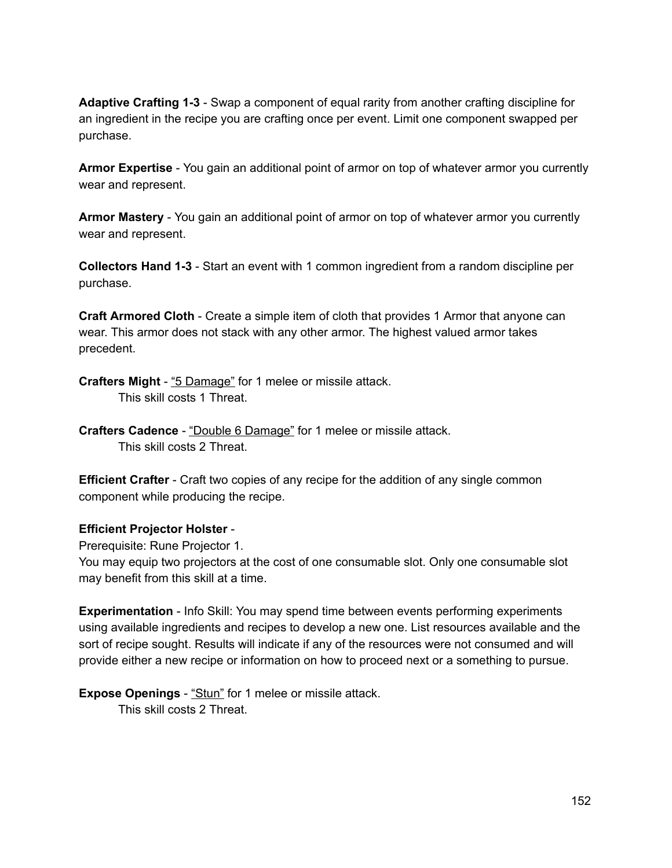**Adaptive Crafting 13** Swap a component of equal rarity from another crafting discipline for an ingredient in the recipe you are crafting once per event. Limit one component swapped per purchase.

**Armor Expertise** - You gain an additional point of armor on top of whatever armor you currently wear and represent.

**Armor Mastery** - You gain an additional point of armor on top of whatever armor you currently wear and represent.

**Collectors Hand 13** Start an event with 1 common ingredient from a random discipline per purchase.

**Craft Armored Cloth** Create a simple item of cloth that provides 1 Armor that anyone can wear. This armor does not stack with any other armor. The highest valued armor takes precedent.

**Crafters Might** "5 Damage" for 1 melee or missile attack. This skill costs 1 Threat.

**Crafters Cadence** "Double 6 Damage" for 1 melee or missile attack. This skill costs 2 Threat.

**Efficient Crafter** - Craft two copies of any recipe for the addition of any single common component while producing the recipe.

#### **Efficient Projector Holster**

Prerequisite: Rune Projector 1.

You may equip two projectors at the cost of one consumable slot. Only one consumable slot may benefit from this skill at a time.

**Experimentation** - Info Skill: You may spend time between events performing experiments using available ingredients and recipes to develop a new one. List resources available and the sort of recipe sought. Results will indicate if any of the resources were not consumed and will provide either a new recipe or information on how to proceed next or a something to pursue.

**Expose Openings** - "Stun" for 1 melee or missile attack. This skill costs 2 Threat.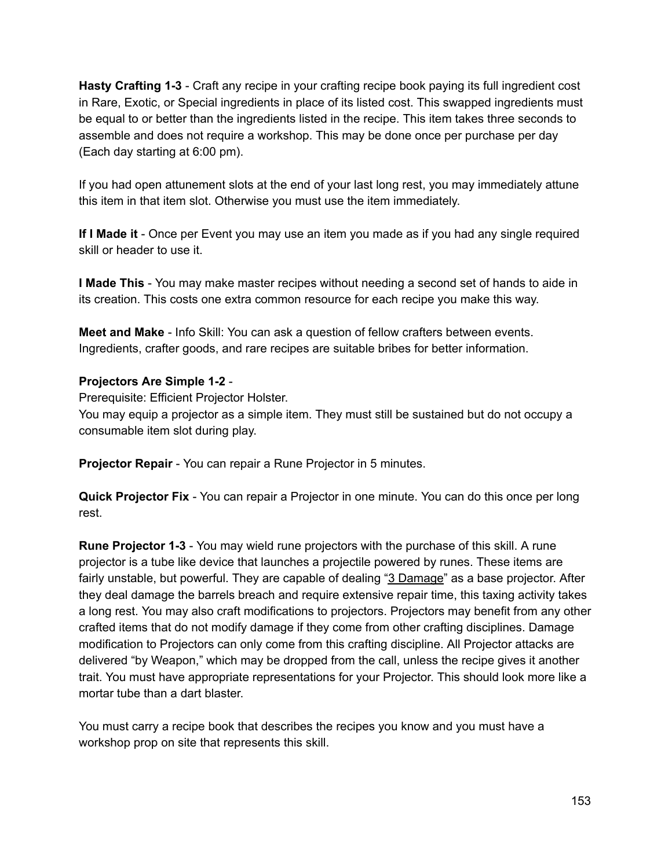**Hasty Crafting 13** Craft any recipe in your crafting recipe book paying its full ingredient cost in Rare, Exotic, or Special ingredients in place of its listed cost. This swapped ingredients must be equal to or better than the ingredients listed in the recipe. This item takes three seconds to assemble and does not require a workshop. This may be done once per purchase per day (Each day starting at 6:00 pm).

If you had open attunement slots at the end of your last long rest, you may immediately attune this item in that item slot. Otherwise you must use the item immediately.

**If I Made it** Once per Event you may use an item you made as if you had any single required skill or header to use it.

**I Made This** You may make master recipes without needing a second set of hands to aide in its creation. This costs one extra common resource for each recipe you make this way.

**Meet and Make** Info Skill: You can ask a question of fellow crafters between events. Ingredients, crafter goods, and rare recipes are suitable bribes for better information.

#### **Projectors Are Simple 12**

Prerequisite: Efficient Projector Holster.

You may equip a projector as a simple item. They must still be sustained but do not occupy a consumable item slot during play.

**Projector Repair** - You can repair a Rune Projector in 5 minutes.

**Quick Projector Fix** You can repair a Projector in one minute. You can do this once per long rest.

**Rune Projector 13** You may wield rune projectors with the purchase of this skill. A rune projector is a tube like device that launches a projectile powered by runes. These items are fairly unstable, but powerful. They are capable of dealing "3 Damage" as a base projector. After they deal damage the barrels breach and require extensive repair time, this taxing activity takes a long rest. You may also craft modifications to projectors. Projectors may benefit from any other crafted items that do not modify damage if they come from other crafting disciplines. Damage modification to Projectors can only come from this crafting discipline. All Projector attacks are delivered "by Weapon," which may be dropped from the call, unless the recipe gives it another trait. You must have appropriate representations for your Projector. This should look more like a mortar tube than a dart blaster.

You must carry a recipe book that describes the recipes you know and you must have a workshop prop on site that represents this skill.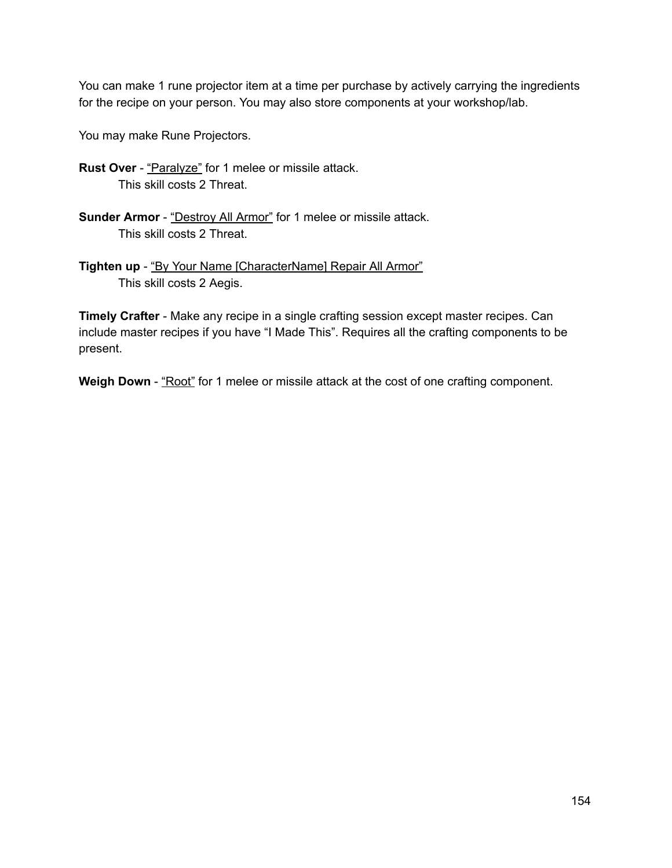You can make 1 rune projector item at a time per purchase by actively carrying the ingredients for the recipe on your person. You may also store components at your workshop/lab.

You may make Rune Projectors.

- **Rust Over** "Paralyze" for 1 melee or missile attack. This skill costs 2 Threat.
- **Sunder Armor** "Destroy All Armor" for 1 melee or missile attack. This skill costs 2 Threat.
- **Tighten up** "By Your Name [CharacterName] Repair All Armor" This skill costs 2 Aegis.

**Timely Crafter** - Make any recipe in a single crafting session except master recipes. Can include master recipes if you have "I Made This". Requires all the crafting components to be present.

**Weigh Down** - "Root" for 1 melee or missile attack at the cost of one crafting component.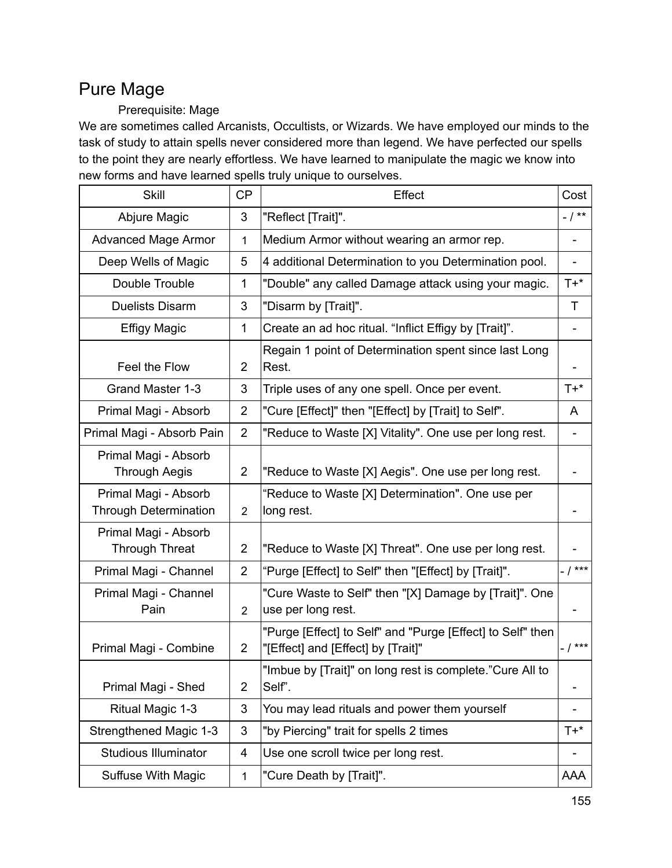# Pure Mage

### Prerequisite: Mage

We are sometimes called Arcanists, Occultists, or Wizards. We have employed our minds to the task of study to attain spells never considered more than legend. We have perfected our spells to the point they are nearly effortless. We have learned to manipulate the magic we know into new forms and have learned spells truly unique to ourselves.

| <b>Skill</b>                                         | <b>CP</b>      | Effect                                                                                           | Cost       |
|------------------------------------------------------|----------------|--------------------------------------------------------------------------------------------------|------------|
| Abjure Magic                                         | 3              | "Reflect [Trait]".                                                                               | $- / * *$  |
| <b>Advanced Mage Armor</b>                           | 1              | Medium Armor without wearing an armor rep.                                                       |            |
| Deep Wells of Magic                                  | 5              | 4 additional Determination to you Determination pool.                                            |            |
| Double Trouble                                       | $\mathbf 1$    | "Double" any called Damage attack using your magic.                                              | $T+*$      |
| <b>Duelists Disarm</b>                               | 3              | "Disarm by [Trait]".                                                                             | T          |
| <b>Effigy Magic</b>                                  | $\mathbf 1$    | Create an ad hoc ritual. "Inflict Effigy by [Trait]".                                            |            |
| Feel the Flow                                        | 2              | Regain 1 point of Determination spent since last Long<br>Rest.                                   |            |
| Grand Master 1-3                                     | 3              | Triple uses of any one spell. Once per event.                                                    | $T+*$      |
| Primal Magi - Absorb                                 | $\overline{2}$ | "Cure [Effect]" then "[Effect] by [Trait] to Self".                                              | A          |
| Primal Magi - Absorb Pain                            | $\overline{2}$ | "Reduce to Waste [X] Vitality". One use per long rest.                                           |            |
| Primal Magi - Absorb<br><b>Through Aegis</b>         | $\overline{2}$ | "Reduce to Waste [X] Aegis". One use per long rest.                                              |            |
| Primal Magi - Absorb<br><b>Through Determination</b> | $\overline{2}$ | "Reduce to Waste [X] Determination". One use per<br>long rest.                                   |            |
| Primal Magi - Absorb<br><b>Through Threat</b>        | $\overline{2}$ | "Reduce to Waste [X] Threat". One use per long rest.                                             |            |
| Primal Magi - Channel                                | $\overline{2}$ | "Purge [Effect] to Self" then "[Effect] by [Trait]".                                             | $-1***$    |
| Primal Magi - Channel<br>Pain                        | $\overline{2}$ | "Cure Waste to Self" then "[X] Damage by [Trait]". One<br>use per long rest.                     |            |
| Primal Magi - Combine                                | $\overline{2}$ | "Purge [Effect] to Self" and "Purge [Effect] to Self" then<br>"[Effect] and [Effect] by [Trait]" | $- 1***$   |
| Primal Magi - Shed                                   | 2              | "Imbue by [Trait]" on long rest is complete."Cure All to<br>Self".                               |            |
| Ritual Magic 1-3                                     | 3              | You may lead rituals and power them yourself                                                     |            |
| Strengthened Magic 1-3                               | 3              | "by Piercing" trait for spells 2 times                                                           | $T+*$      |
| <b>Studious Illuminator</b>                          | 4              | Use one scroll twice per long rest.                                                              |            |
| Suffuse With Magic                                   | $\mathbf{1}$   | "Cure Death by [Trait]".                                                                         | <b>AAA</b> |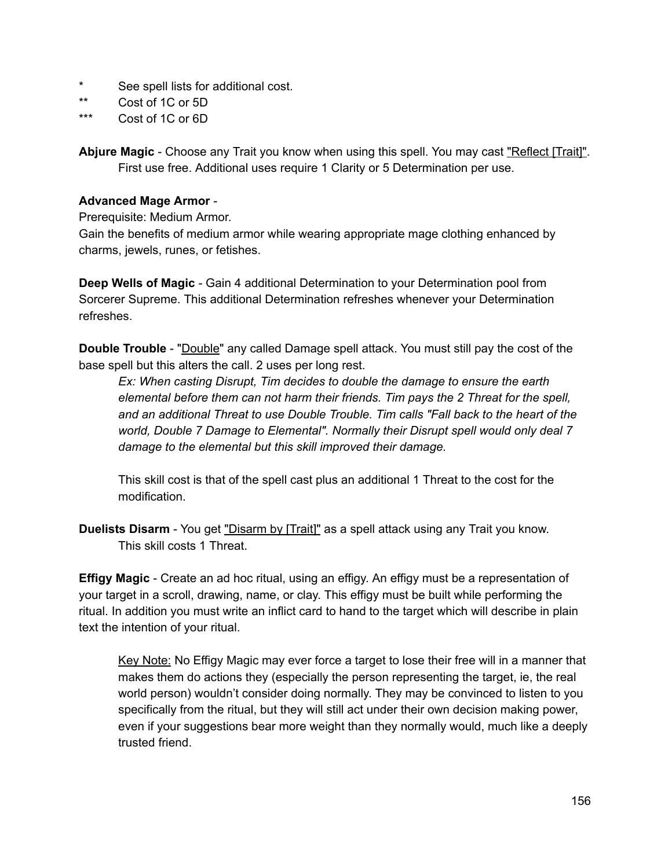- See spell lists for additional cost.
- \*\* Cost of 1C or 5D
- \*\*\* Cost of 1C or 6D

**Abjure Magic** - Choose any Trait you know when using this spell. You may cast "Reflect [Trait]". First use free. Additional uses require 1 Clarity or 5 Determination per use.

#### **Advanced Mage Armor**

Prerequisite: Medium Armor.

Gain the benefits of medium armor while wearing appropriate mage clothing enhanced by charms, jewels, runes, or fetishes.

**Deep Wells of Magic** - Gain 4 additional Determination to your Determination pool from Sorcerer Supreme. This additional Determination refreshes whenever your Determination refreshes.

**Double Trouble** - "Double" any called Damage spell attack. You must still pay the cost of the base spell but this alters the call. 2 uses per long rest.

*Ex: When casting Disrupt, Tim decides to double the damage to ensure the earth elemental before them can not harm their friends. Tim pays the 2 Threat for the spell, and an additional Threat to use Double Trouble. Tim calls "Fall back to the heart of the world, Double 7 Damage to Elemental". Normally their Disrupt spell would only deal 7 damage to the elemental but this skill improved their damage.*

This skill cost is that of the spell cast plus an additional 1 Threat to the cost for the modification.

**Duelists Disarm** - You get "Disarm by [Trait]" as a spell attack using any Trait you know. This skill costs 1 Threat.

**Effigy Magic** - Create an ad hoc ritual, using an effigy. An effigy must be a representation of your target in a scroll, drawing, name, or clay. This effigy must be built while performing the ritual. In addition you must write an inflict card to hand to the target which will describe in plain text the intention of your ritual.

Key Note: No Effigy Magic may ever force a target to lose their free will in a manner that makes them do actions they (especially the person representing the target, ie, the real world person) wouldn't consider doing normally. They may be convinced to listen to you specifically from the ritual, but they will still act under their own decision making power, even if your suggestions bear more weight than they normally would, much like a deeply trusted friend.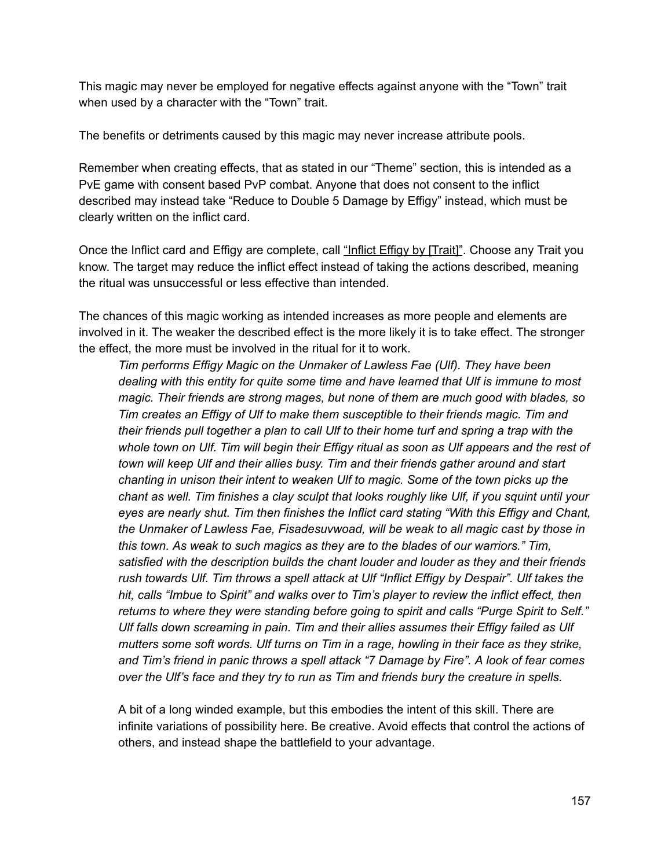This magic may never be employed for negative effects against anyone with the "Town" trait when used by a character with the "Town" trait.

The benefits or detriments caused by this magic may never increase attribute pools.

Remember when creating effects, that as stated in our "Theme" section, this is intended as a PvE game with consent based PvP combat. Anyone that does not consent to the inflict described may instead take "Reduce to Double 5 Damage by Effigy" instead, which must be clearly written on the inflict card.

Once the Inflict card and Effigy are complete, call "Inflict Effigy by [Trait]". Choose any Trait you know. The target may reduce the inflict effect instead of taking the actions described, meaning the ritual was unsuccessful or less effective than intended.

The chances of this magic working as intended increases as more people and elements are involved in it. The weaker the described effect is the more likely it is to take effect. The stronger the effect, the more must be involved in the ritual for it to work.

*Tim performs Effigy Magic on the Unmaker of Lawless Fae (Ulf). They have been dealing with this entity for quite some time and have learned that Ulf is immune to most magic. Their friends are strong mages, but none of them are much good with blades, so Tim creates an Effigy of Ulf to make them susceptible to their friends magic. Tim and* their friends pull together a plan to call Ulf to their home turf and spring a trap with the whole town on Ulf. Tim will begin their Effigy ritual as soon as Ulf appears and the rest of *town will keep Ulf and their allies busy. Tim and their friends gather around and start chanting in unison their intent to weaken Ulf to magic. Some of the town picks up the chant as well. Tim finishes a clay sculpt that looks roughly like Ulf, if you squint until your eyes are nearly shut. Tim then finishes the Inflict card stating "With this Effigy and Chant, the Unmaker of Lawless Fae, Fisadesuvwoad, will be weak to all magic cast by those in this town. As weak to such magics as they are to the blades of our warriors." Tim, satisfied with the description builds the chant louder and louder as they and their friends rush towards Ulf. Tim throws a spell attack at Ulf "Inflict Effigy by Despair". Ulf takes the hit, calls "Imbue to Spirit" and walks over to Tim's player to review the inflict effect, then returns to where they were standing before going to spirit and calls "Purge Spirit to Self." Ulf falls down screaming in pain. Tim and their allies assumes their Effigy failed as Ulf mutters some soft words. Ulf turns on Tim in a rage, howling in their face as they strike, and Tim's friend in panic throws a spell attack "7 Damage by Fire". A look of fear comes over the Ulf's face and they try to run as Tim and friends bury the creature in spells.*

A bit of a long winded example, but this embodies the intent of this skill. There are infinite variations of possibility here. Be creative. Avoid effects that control the actions of others, and instead shape the battlefield to your advantage.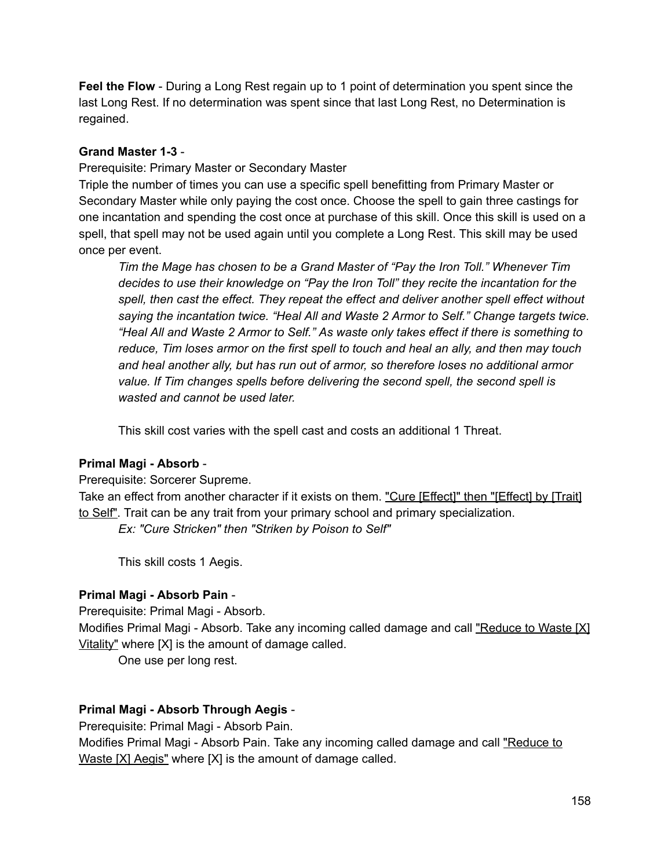**Feel the Flow** - During a Long Rest regain up to 1 point of determination you spent since the last Long Rest. If no determination was spent since that last Long Rest, no Determination is regained.

#### **Grand Master 13**

Prerequisite: Primary Master or Secondary Master

Triple the number of times you can use a specific spell benefitting from Primary Master or Secondary Master while only paying the cost once. Choose the spell to gain three castings for one incantation and spending the cost once at purchase of this skill. Once this skill is used on a spell, that spell may not be used again until you complete a Long Rest. This skill may be used once per event.

*Tim the Mage has chosen to be a Grand Master of "Pay the Iron Toll." Whenever Tim decides to use their knowledge on "Pay the Iron Toll" they recite the incantation for the spell, then cast the effect. They repeat the effect and deliver another spell effect without saying the incantation twice. "Heal All and Waste 2 Armor to Self." Change targets twice. "Heal All and Waste 2 Armor to Self." As waste only takes effect if there is something to reduce, Tim loses armor on the first spell to touch and heal an ally, and then may touch and heal another ally, but has run out of armor, so therefore loses no additional armor value. If Tim changes spells before delivering the second spell, the second spell is wasted and cannot be used later.*

This skill cost varies with the spell cast and costs an additional 1 Threat.

#### **Primal Magi Absorb**

Prerequisite: Sorcerer Supreme.

Take an effect from another character if it exists on them. "Cure [Effect]" then "[Effect] by [Trait] to Self". Trait can be any trait from your primary school and primary specialization. *Ex: "Cure Stricken" then "Striken by Poison to Self"*

This skill costs 1 Aegis.

#### **Primal Magi Absorb Pain**

Prerequisite: Primal Magi - Absorb.

Modifies Primal Magi - Absorb. Take any incoming called damage and call "Reduce to Waste [X] Vitality" where [X] is the amount of damage called.

One use per long rest.

#### **Primal Magi Absorb Through Aegis**

Prerequisite: Primal Magi - Absorb Pain.

Modifies Primal Magi - Absorb Pain. Take any incoming called damage and call "Reduce to Waste [X] Aegis" where [X] is the amount of damage called.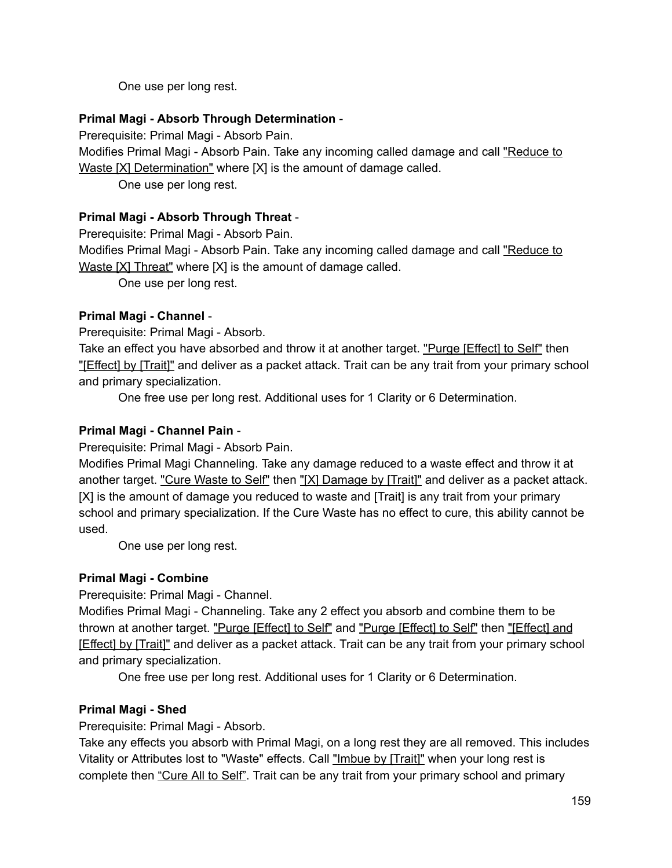One use per long rest.

#### **Primal Magi Absorb Through Determination**

Prerequisite: Primal Magi - Absorb Pain.

Modifies Primal Magi - Absorb Pain. Take any incoming called damage and call "Reduce to Waste [X] Determination" where [X] is the amount of damage called.

One use per long rest.

#### **Primal Magi Absorb Through Threat**

Prerequisite: Primal Magi - Absorb Pain.

Modifies Primal Magi - Absorb Pain. Take any incoming called damage and call "Reduce to Waste [X] Threat" where [X] is the amount of damage called.

One use per long rest.

#### **Primal Magi Channel**

Prerequisite: Primal Magi - Absorb.

Take an effect you have absorbed and throw it at another target. "Purge [Effect] to Self" then "[Effect] by [Trait]" and deliver as a packet attack. Trait can be any trait from your primary school and primary specialization.

One free use per long rest. Additional uses for 1 Clarity or 6 Determination.

#### **Primal Magi Channel Pain**

Prerequisite: Primal Magi - Absorb Pain.

Modifies Primal Magi Channeling. Take any damage reduced to a waste effect and throw it at another target. "Cure Waste to Self" then "[X] Damage by [Trait]" and deliver as a packet attack. [X] is the amount of damage you reduced to waste and [Trait] is any trait from your primary school and primary specialization. If the Cure Waste has no effect to cure, this ability cannot be used.

One use per long rest.

#### **Primal Magi Combine**

Prerequisite: Primal Magi - Channel.

Modifies Primal Magi - Channeling. Take any 2 effect you absorb and combine them to be thrown at another target. "Purge [Effect] to Self" and "Purge [Effect] to Self" then "[Effect] and [Effect] by [Trait]" and deliver as a packet attack. Trait can be any trait from your primary school and primary specialization.

One free use per long rest. Additional uses for 1 Clarity or 6 Determination.

#### **Primal Magi Shed**

Prerequisite: Primal Magi - Absorb.

Take any effects you absorb with Primal Magi, on a long rest they are all removed. This includes Vitality or Attributes lost to "Waste" effects. Call "Imbue by [Trait]" when your long rest is complete then "Cure All to Self". Trait can be any trait from your primary school and primary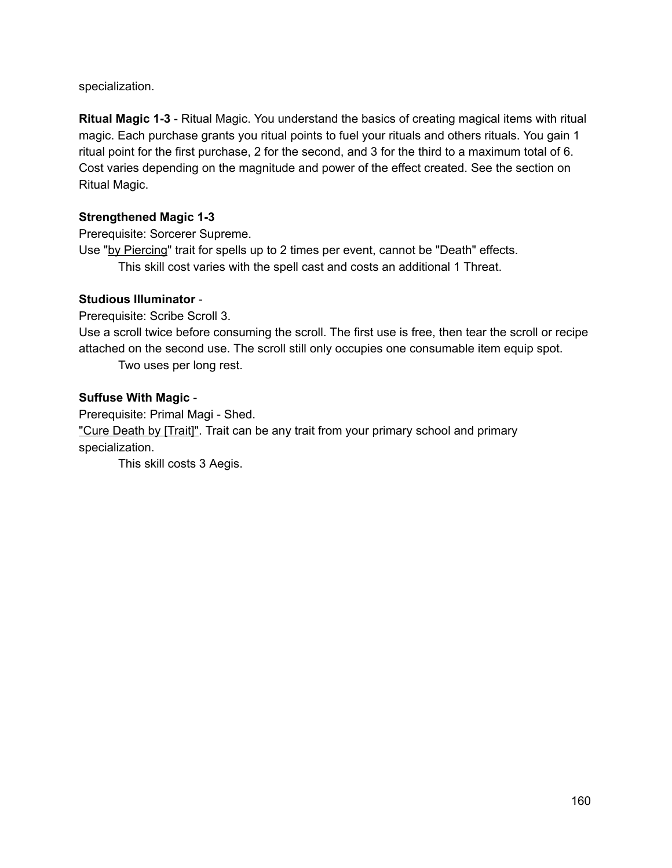specialization.

**Ritual Magic 13** Ritual Magic. You understand the basics of creating magical items with ritual magic. Each purchase grants you ritual points to fuel your rituals and others rituals. You gain 1 ritual point for the first purchase, 2 for the second, and 3 for the third to a maximum total of 6. Cost varies depending on the magnitude and power of the effect created. See the section on Ritual Magic.

#### **Strengthened Magic 13**

Prerequisite: Sorcerer Supreme.

Use "by Piercing" trait for spells up to 2 times per event, cannot be "Death" effects. This skill cost varies with the spell cast and costs an additional 1 Threat.

#### **Studious Illuminator**

Prerequisite: Scribe Scroll 3.

Use a scroll twice before consuming the scroll. The first use is free, then tear the scroll or recipe attached on the second use. The scroll still only occupies one consumable item equip spot. Two uses per long rest.

#### **Suffuse With Magic**

Prerequisite: Primal Magi - Shed. "Cure Death by [Trait]". Trait can be any trait from your primary school and primary specialization.

This skill costs 3 Aegis.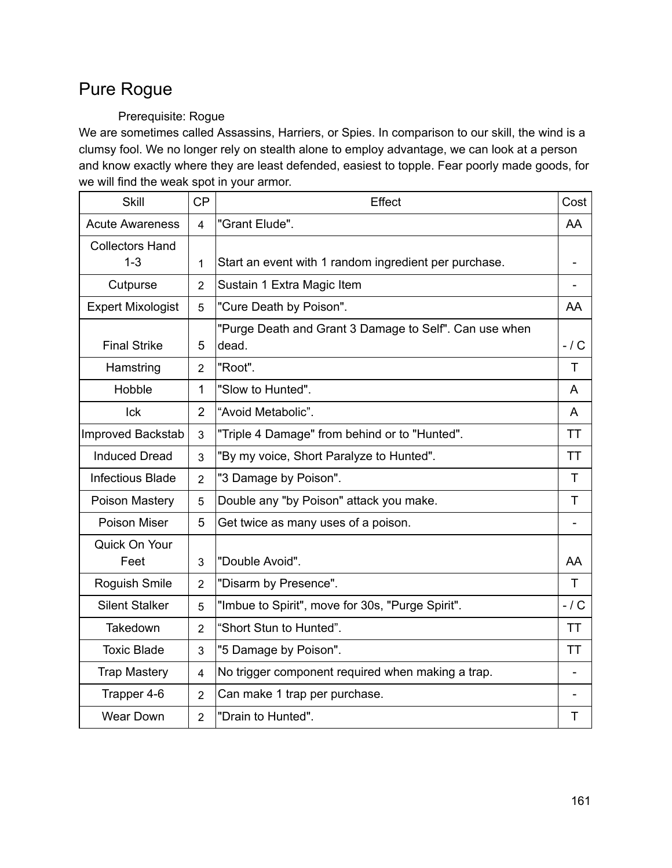# Pure Rogue

### Prerequisite: Rogue

We are sometimes called Assassins, Harriers, or Spies. In comparison to our skill, the wind is a clumsy fool. We no longer rely on stealth alone to employ advantage, we can look at a person and know exactly where they are least defended, easiest to topple. Fear poorly made goods, for we will find the weak spot in your armor.

| <b>Skill</b>             | <b>CP</b>      | Effect                                                          | Cost      |
|--------------------------|----------------|-----------------------------------------------------------------|-----------|
| <b>Acute Awareness</b>   | 4              | "Grant Elude".                                                  | AA        |
| <b>Collectors Hand</b>   |                |                                                                 |           |
| $1 - 3$                  | 1              | Start an event with 1 random ingredient per purchase.           |           |
| Cutpurse                 | $\overline{2}$ | Sustain 1 Extra Magic Item                                      |           |
| <b>Expert Mixologist</b> | 5              | "Cure Death by Poison".                                         | AA        |
| <b>Final Strike</b>      | 5              | "Purge Death and Grant 3 Damage to Self". Can use when<br>dead. | $-1$ C    |
| Hamstring                | $\overline{2}$ | "Root".                                                         | T         |
| Hobble                   | $\mathbf{1}$   | "Slow to Hunted".                                               | A         |
| Ick                      | $\overline{2}$ | "Avoid Metabolic".                                              | A         |
| Improved Backstab        | 3              | "Triple 4 Damage" from behind or to "Hunted".                   | <b>TT</b> |
| <b>Induced Dread</b>     | 3              | "By my voice, Short Paralyze to Hunted".                        | <b>TT</b> |
| Infectious Blade         | $\overline{2}$ | "3 Damage by Poison".                                           | T         |
| Poison Mastery           | 5              | Double any "by Poison" attack you make.                         | T         |
| Poison Miser             | 5              | Get twice as many uses of a poison.                             |           |
| Quick On Your            |                |                                                                 |           |
| Feet                     | 3              | "Double Avoid".                                                 | AA        |
| Roguish Smile            | $\overline{2}$ | "Disarm by Presence".                                           | T         |
| <b>Silent Stalker</b>    | 5              | "Imbue to Spirit", move for 30s, "Purge Spirit".                | $-1$ C    |
| Takedown                 | $\overline{2}$ | "Short Stun to Hunted".                                         | <b>TT</b> |
| <b>Toxic Blade</b>       | 3              | "5 Damage by Poison".                                           | ТT        |
| <b>Trap Mastery</b>      | $\overline{4}$ | No trigger component required when making a trap.               |           |
| Trapper 4-6              | $\overline{2}$ | Can make 1 trap per purchase.                                   |           |
| <b>Wear Down</b>         | $\overline{2}$ | "Drain to Hunted".                                              | Τ         |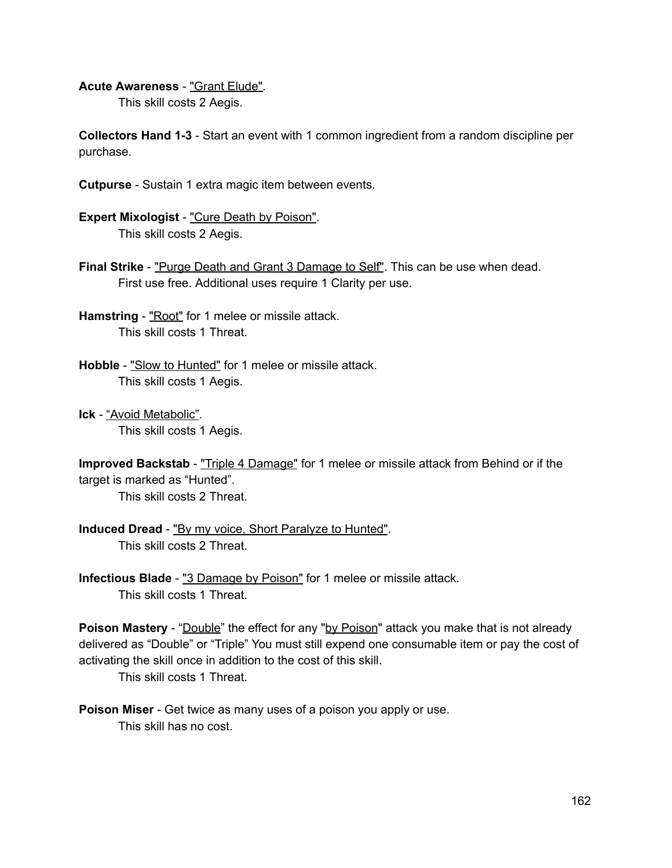**Acute Awareness** "Grant Elude".

This skill costs 2 Aegis.

**Collectors Hand 13** Start an event with 1 common ingredient from a random discipline per purchase.

- **Cutpurse** Sustain 1 extra magic item between events.
- **Expert Mixologist** "Cure Death by Poison". This skill costs 2 Aegis.
- **Final Strike** "Purge Death and Grant 3 Damage to Self". This can be use when dead. First use free. Additional uses require 1 Clarity per use.
- **Hamstring** "Root" for 1 melee or missile attack. This skill costs 1 Threat.
- **Hobble** "Slow to Hunted" for 1 melee or missile attack. This skill costs 1 Aegis.
- **Ick** "Avoid Metabolic". This skill costs 1 Aegis.

```
Improved Backstab - "Triple 4 Damage" for 1 melee or missile attack from Behind or if the
target is marked as "Hunted".
```
This skill costs 2 Threat.

- **Induced Dread** "By my voice, Short Paralyze to Hunted". This skill costs 2 Threat.
- **Infectious Blade** "3 Damage by Poison" for 1 melee or missile attack. This skill costs 1 Threat.

**Poison Mastery** - "Double" the effect for any "by Poison" attack you make that is not already delivered as "Double" or "Triple" You must still expend one consumable item or pay the cost of activating the skill once in addition to the cost of this skill.

This skill costs 1 Threat.

**Poison Miser** - Get twice as many uses of a poison you apply or use. This skill has no cost.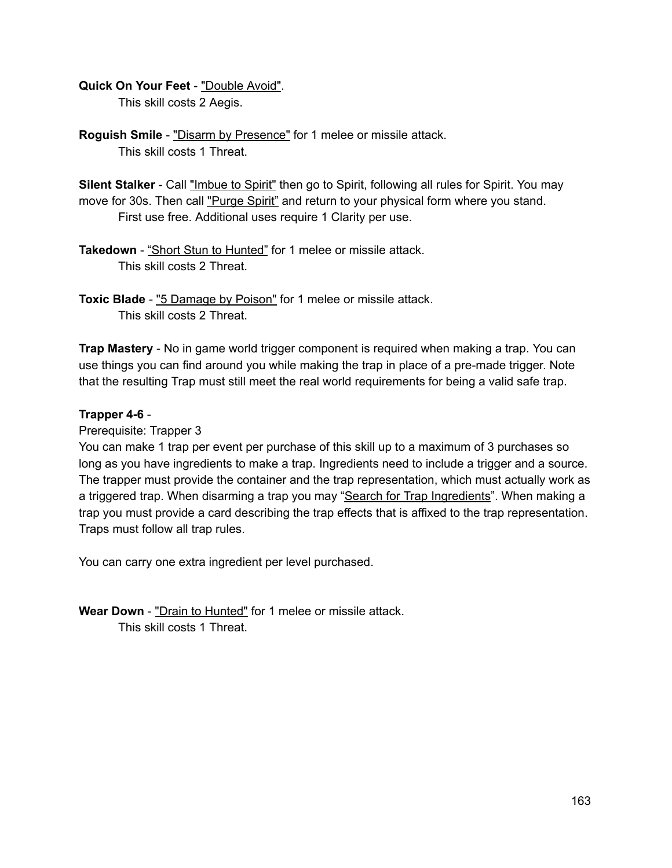#### **Quick On Your Feet** "Double Avoid".

This skill costs 2 Aegis.

**Roguish Smile** - "Disarm by Presence" for 1 melee or missile attack. This skill costs 1 Threat.

**Silent Stalker** - Call "Imbue to Spirit" then go to Spirit, following all rules for Spirit. You may move for 30s. Then call "Purge Spirit" and return to your physical form where you stand. First use free. Additional uses require 1 Clarity per use.

- **Takedown** "Short Stun to Hunted" for 1 melee or missile attack. This skill costs 2 Threat.
- **Toxic Blade** "5 Damage by Poison" for 1 melee or missile attack. This skill costs 2 Threat.

**Trap Mastery** - No in game world trigger component is required when making a trap. You can use things you can find around you while making the trap in place of a pre-made trigger. Note that the resulting Trap must still meet the real world requirements for being a valid safe trap.

#### **Trapper** 4-6 -

#### Prerequisite: Trapper 3

You can make 1 trap per event per purchase of this skill up to a maximum of 3 purchases so long as you have ingredients to make a trap. Ingredients need to include a trigger and a source. The trapper must provide the container and the trap representation, which must actually work as a triggered trap. When disarming a trap you may "Search for Trap Ingredients". When making a trap you must provide a card describing the trap effects that is affixed to the trap representation. Traps must follow all trap rules.

You can carry one extra ingredient per level purchased.

**Wear Down** "Drain to Hunted" for 1 melee or missile attack. This skill costs 1 Threat.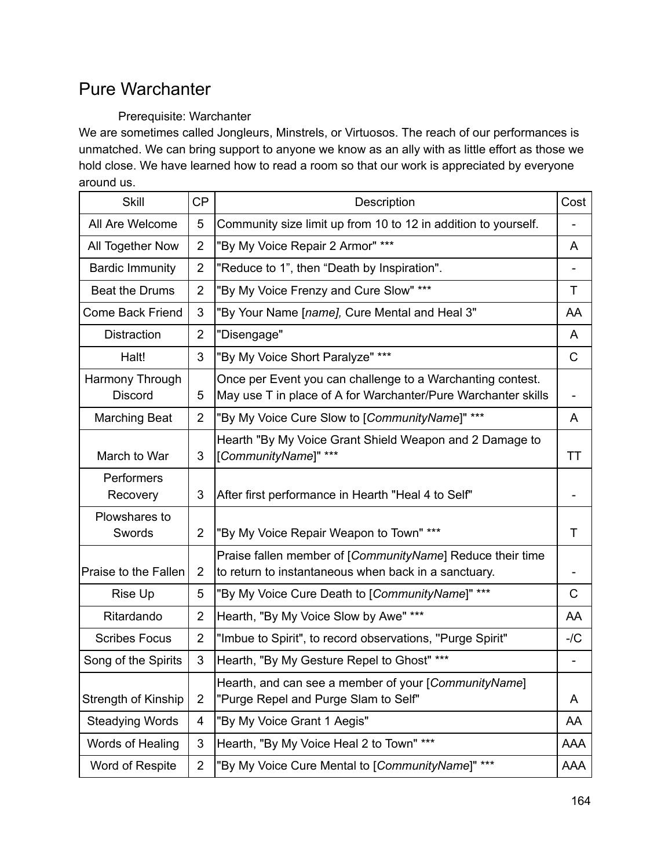## Pure Warchanter

### Prerequisite: Warchanter

We are sometimes called Jongleurs, Minstrels, or Virtuosos. The reach of our performances is unmatched. We can bring support to anyone we know as an ally with as little effort as those we hold close. We have learned how to read a room so that our work is appreciated by everyone around us.

| <b>Skill</b>                      | <b>CP</b>      | Description                                                                                                                 | Cost       |
|-----------------------------------|----------------|-----------------------------------------------------------------------------------------------------------------------------|------------|
| All Are Welcome                   | 5              | Community size limit up from 10 to 12 in addition to yourself.                                                              |            |
| All Together Now                  | $\overline{2}$ | "By My Voice Repair 2 Armor" ***                                                                                            | A          |
| <b>Bardic Immunity</b>            | $\overline{2}$ | "Reduce to 1", then "Death by Inspiration".                                                                                 |            |
| <b>Beat the Drums</b>             | $\overline{2}$ | "By My Voice Frenzy and Cure Slow" ***                                                                                      | т          |
| <b>Come Back Friend</b>           | 3              | "By Your Name [name], Cure Mental and Heal 3"                                                                               | AA         |
| <b>Distraction</b>                | $\overline{2}$ | "Disengage"                                                                                                                 | A          |
| Halt!                             | 3              | "By My Voice Short Paralyze" ***                                                                                            | C          |
| Harmony Through<br><b>Discord</b> | 5              | Once per Event you can challenge to a Warchanting contest.<br>May use T in place of A for Warchanter/Pure Warchanter skills |            |
| <b>Marching Beat</b>              | $\overline{2}$ | "By My Voice Cure Slow to [CommunityName]" ***                                                                              | A          |
| March to War                      | 3              | Hearth "By My Voice Grant Shield Weapon and 2 Damage to<br>[CommunityName]" ***                                             | ТT         |
| Performers<br>Recovery            | 3              | After first performance in Hearth "Heal 4 to Self"                                                                          |            |
| Plowshares to<br>Swords           | $\overline{2}$ | "By My Voice Repair Weapon to Town" ***                                                                                     | т          |
| Praise to the Fallen              | 2              | Praise fallen member of [CommunityName] Reduce their time<br>to return to instantaneous when back in a sanctuary.           |            |
| Rise Up                           | 5              | "By My Voice Cure Death to [CommunityName]" ***                                                                             | C          |
| Ritardando                        | 2              | Hearth, "By My Voice Slow by Awe" ***                                                                                       | AA         |
| <b>Scribes Focus</b>              | $\overline{2}$ | "Imbue to Spirit", to record observations, "Purge Spirit"                                                                   | $-/C$      |
| Song of the Spirits               | 3              | Hearth, "By My Gesture Repel to Ghost" ***                                                                                  |            |
| <b>Strength of Kinship</b>        | $\overline{2}$ | Hearth, and can see a member of your [CommunityName]<br>"Purge Repel and Purge Slam to Self"                                | A          |
| <b>Steadying Words</b>            | 4              | "By My Voice Grant 1 Aegis"                                                                                                 | AA         |
| Words of Healing                  | 3              | Hearth, "By My Voice Heal 2 to Town" ***                                                                                    | <b>AAA</b> |
| Word of Respite                   | $\overline{2}$ | "By My Voice Cure Mental to [CommunityName]" ***                                                                            | AAA        |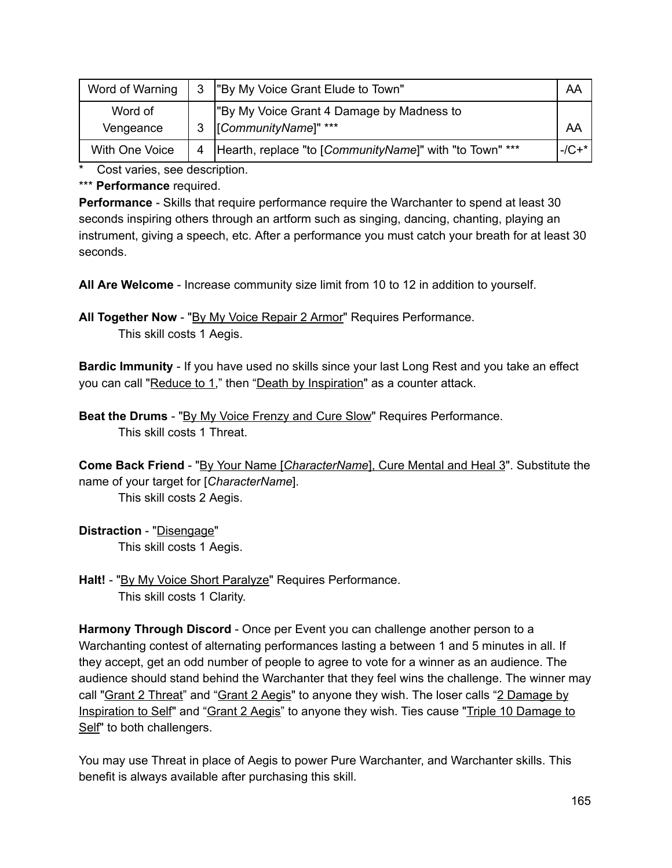| Word of Warning      |   | 3  "By My Voice Grant Elude to Town"                              | AA          |
|----------------------|---|-------------------------------------------------------------------|-------------|
| Word of<br>Vengeance |   | "By My Voice Grant 4 Damage by Madness to<br>[CommunityName]" *** | AA          |
| With One Voice       | 4 | Hearth, replace "to [CommunityName]" with "to Town" ***           | $-(C + * )$ |

Cost varies, see description.

\*\*\* **Performance** required.

**Performance** - Skills that require performance require the Warchanter to spend at least 30 seconds inspiring others through an artform such as singing, dancing, chanting, playing an instrument, giving a speech, etc. After a performance you must catch your breath for at least 30 seconds.

**All Are Welcome** Increase community size limit from 10 to 12 in addition to yourself.

All Together Now - "By My Voice Repair 2 Armor" Requires Performance. This skill costs 1 Aegis.

**Bardic Immunity** If you have used no skills since your last Long Rest and you take an effect you can call "Reduce to 1," then "Death by Inspiration" as a counter attack.

**Beat the Drums** - "By My Voice Frenzy and Cure Slow" Requires Performance. This skill costs 1 Threat.

**Come Back Friend** "By Your Name [*CharacterName*], Cure Mental and Heal 3". Substitute the name of your target for [*CharacterName*].

This skill costs 2 Aegis.

**Distraction** "Disengage" This skill costs 1 Aegis.

**Halt!** "By My Voice Short Paralyze" Requires Performance. This skill costs 1 Clarity.

**Harmony Through Discord** - Once per Event you can challenge another person to a Warchanting contest of alternating performances lasting a between 1 and 5 minutes in all. If they accept, get an odd number of people to agree to vote for a winner as an audience. The audience should stand behind the Warchanter that they feel wins the challenge. The winner may call "Grant 2 Threat" and "Grant 2 Aegis" to anyone they wish. The loser calls "2 Damage by Inspiration to Self" and "Grant 2 Aegis" to anyone they wish. Ties cause "Triple 10 Damage to Self" to both challengers.

You may use Threat in place of Aegis to power Pure Warchanter, and Warchanter skills. This benefit is always available after purchasing this skill.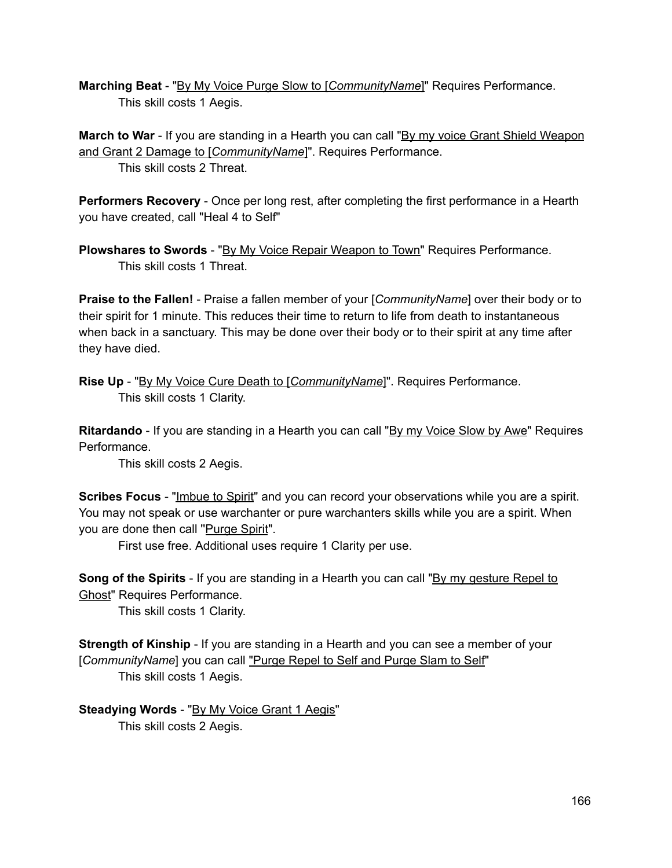**Marching Beat** "By My Voice Purge Slow to [*CommunityName*]" Requires Performance. This skill costs 1 Aegis.

**March to War** - If you are standing in a Hearth you can call "By my voice Grant Shield Weapon" and Grant 2 Damage to [*CommunityName*]". Requires Performance. This skill costs 2 Threat.

**Performers Recovery** - Once per long rest, after completing the first performance in a Hearth you have created, call "Heal 4 to Self"

**Plowshares to Swords** "By My Voice Repair Weapon to Town" Requires Performance. This skill costs 1 Threat.

**Praise to the Fallen!** Praise a fallen member of your [*CommunityName*] over their body or to their spirit for 1 minute. This reduces their time to return to life from death to instantaneous when back in a sanctuary. This may be done over their body or to their spirit at any time after they have died.

**Rise Up** "By My Voice Cure Death to [*CommunityName*]". Requires Performance. This skill costs 1 Clarity.

**Ritardando** - If you are standing in a Hearth you can call "By my Voice Slow by Awe" Requires Performance.

This skill costs 2 Aegis.

**Scribes Focus** "Imbue to Spirit" and you can record your observations while you are a spirit. You may not speak or use warchanter or pure warchanters skills while you are a spirit. When you are done then call "Purge Spirit".

First use free. Additional uses require 1 Clarity per use.

**Song of the Spirits** - If you are standing in a Hearth you can call "By my gesture Repel to Ghost" Requires Performance.

This skill costs 1 Clarity.

**Strength of Kinship** - If you are standing in a Hearth and you can see a member of your [*CommunityName*] you can call "Purge Repel to Self and Purge Slam to Self" This skill costs 1 Aegis.

**Steadying Words** "By My Voice Grant 1 Aegis" This skill costs 2 Aegis.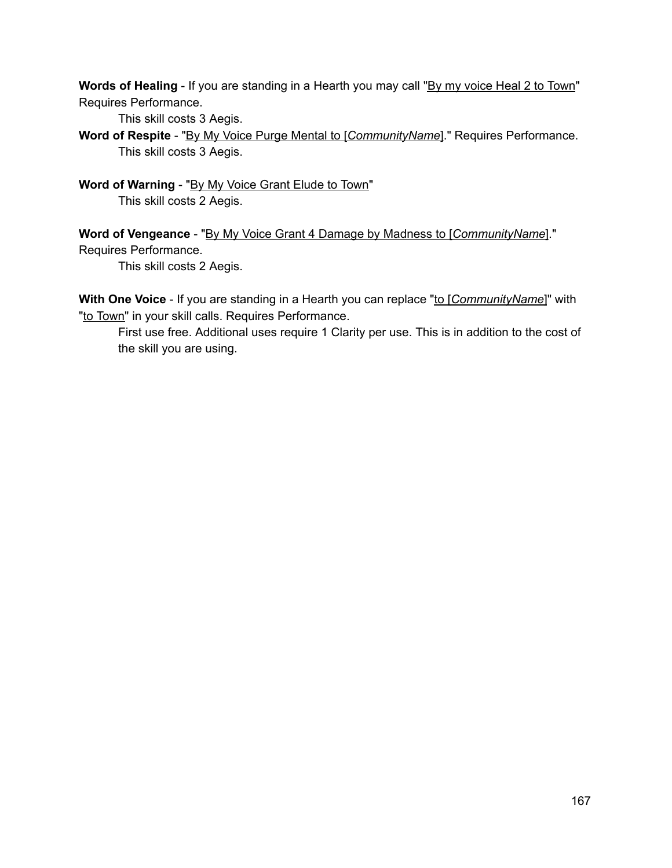**Words of Healing** - If you are standing in a Hearth you may call "By my voice Heal 2 to Town" Requires Performance.

This skill costs 3 Aegis.

**Word of Respite** "By My Voice Purge Mental to [*CommunityName*]." Requires Performance. This skill costs 3 Aegis.

**Word of Warning** "By My Voice Grant Elude to Town" This skill costs 2 Aegis.

**Word of Vengeance** "By My Voice Grant 4 Damage by Madness to [*CommunityName*]." Requires Performance.

This skill costs 2 Aegis.

**With One Voice** - If you are standing in a Hearth you can replace "to [*CommunityName*]" with "to Town" in your skill calls. Requires Performance.

First use free. Additional uses require 1 Clarity per use. This is in addition to the cost of the skill you are using.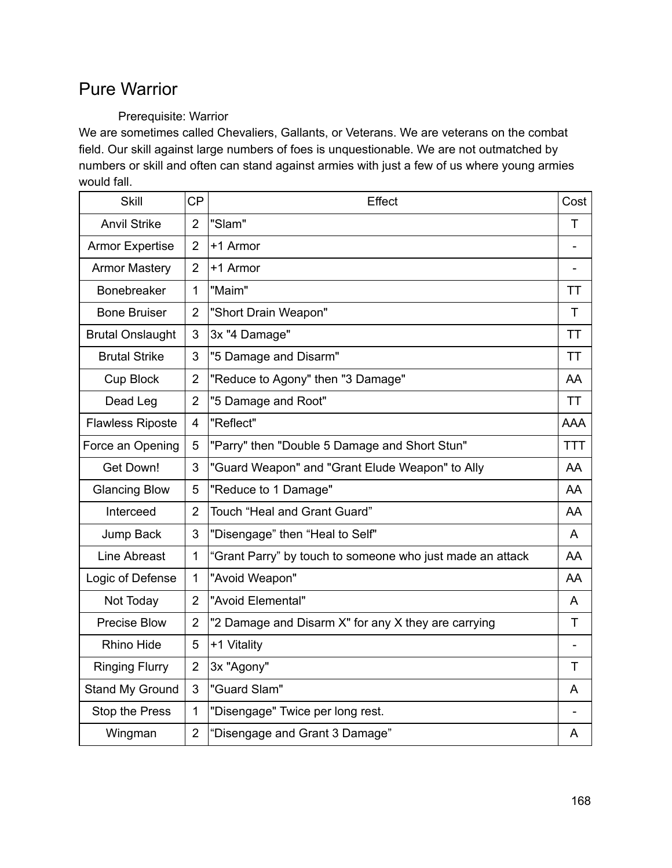## Pure Warrior

### Prerequisite: Warrior

We are sometimes called Chevaliers, Gallants, or Veterans. We are veterans on the combat field. Our skill against large numbers of foes is unquestionable. We are not outmatched by numbers or skill and often can stand against armies with just a few of us where young armies would fall.

| <b>Skill</b>            | <b>CP</b>      | Effect                                                    | Cost       |
|-------------------------|----------------|-----------------------------------------------------------|------------|
| <b>Anvil Strike</b>     | $\overline{2}$ | "Slam"                                                    | т          |
| <b>Armor Expertise</b>  | $\overline{2}$ | +1 Armor                                                  |            |
| <b>Armor Mastery</b>    | $\overline{2}$ | +1 Armor                                                  |            |
| <b>Bonebreaker</b>      | 1              | "Maim"                                                    | ТT         |
| <b>Bone Bruiser</b>     | $\overline{2}$ | "Short Drain Weapon"                                      | T          |
| <b>Brutal Onslaught</b> | 3              | 3x "4 Damage"                                             | TТ         |
| <b>Brutal Strike</b>    | 3              | "5 Damage and Disarm"                                     | TT         |
| Cup Block               | $\overline{2}$ | "Reduce to Agony" then "3 Damage"                         | AA         |
| Dead Leg                | $\overline{2}$ | "5 Damage and Root"                                       | <b>TT</b>  |
| <b>Flawless Riposte</b> | 4              | "Reflect"                                                 | <b>AAA</b> |
| Force an Opening        | 5              | "Parry" then "Double 5 Damage and Short Stun"             | <b>TTT</b> |
| Get Down!               | 3              | "Guard Weapon" and "Grant Elude Weapon" to Ally           | AA.        |
| <b>Glancing Blow</b>    | 5              | "Reduce to 1 Damage"                                      | AA         |
| Interceed               | $\overline{2}$ | Touch "Heal and Grant Guard"                              | AA         |
| Jump Back               | 3              | "Disengage" then "Heal to Self"                           | A          |
| Line Abreast            | 1              | "Grant Parry" by touch to someone who just made an attack | AA         |
| Logic of Defense        | 1              | "Avoid Weapon"                                            | AA         |
| Not Today               | $\overline{2}$ | "Avoid Elemental"                                         | A          |
| Precise Blow            | $\overline{2}$ | "2 Damage and Disarm X" for any X they are carrying       | T          |
| <b>Rhino Hide</b>       | 5              | +1 Vitality                                               |            |
| <b>Ringing Flurry</b>   | $\overline{2}$ | 3x "Agony"                                                | т          |
| Stand My Ground         | 3              | "Guard Slam"                                              | A          |
| Stop the Press          | 1              | "Disengage" Twice per long rest.                          |            |
| Wingman                 | $\overline{2}$ | "Disengage and Grant 3 Damage"                            | A          |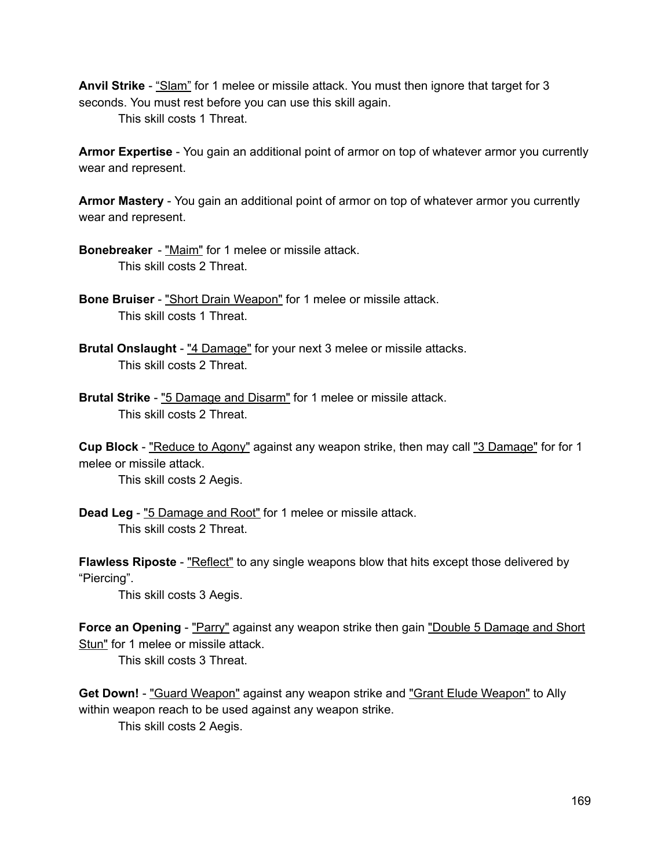**Anvil Strike** "Slam" for 1 melee or missile attack. You must then ignore that target for 3 seconds. You must rest before you can use this skill again.

This skill costs 1 Threat.

**Armor Expertise** - You gain an additional point of armor on top of whatever armor you currently wear and represent.

**Armor Mastery** - You gain an additional point of armor on top of whatever armor you currently wear and represent.

**Bonebreaker** - "Maim" for 1 melee or missile attack. This skill costs 2 Threat.

- **Bone Bruiser** "Short Drain Weapon" for 1 melee or missile attack. This skill costs 1 Threat.
- **Brutal Onslaught** "4 Damage" for your next 3 melee or missile attacks. This skill costs 2 Threat.
- **Brutal Strike** "5 Damage and Disarm" for 1 melee or missile attack. This skill costs 2 Threat.

**Cup Block** "Reduce to Agony" against any weapon strike, then may call "3 Damage" for for 1 melee or missile attack.

This skill costs 2 Aegis.

**Dead Leg** "5 Damage and Root" for 1 melee or missile attack. This skill costs 2 Threat.

**Flawless Riposte** - "Reflect" to any single weapons blow that hits except those delivered by "Piercing".

This skill costs 3 Aegis.

**Force an Opening** - "Parry" against any weapon strike then gain "Double 5 Damage and Short Stun" for 1 melee or missile attack.

This skill costs 3 Threat.

**Get Down!** - "Guard Weapon" against any weapon strike and "Grant Elude Weapon" to Ally within weapon reach to be used against any weapon strike.

This skill costs 2 Aegis.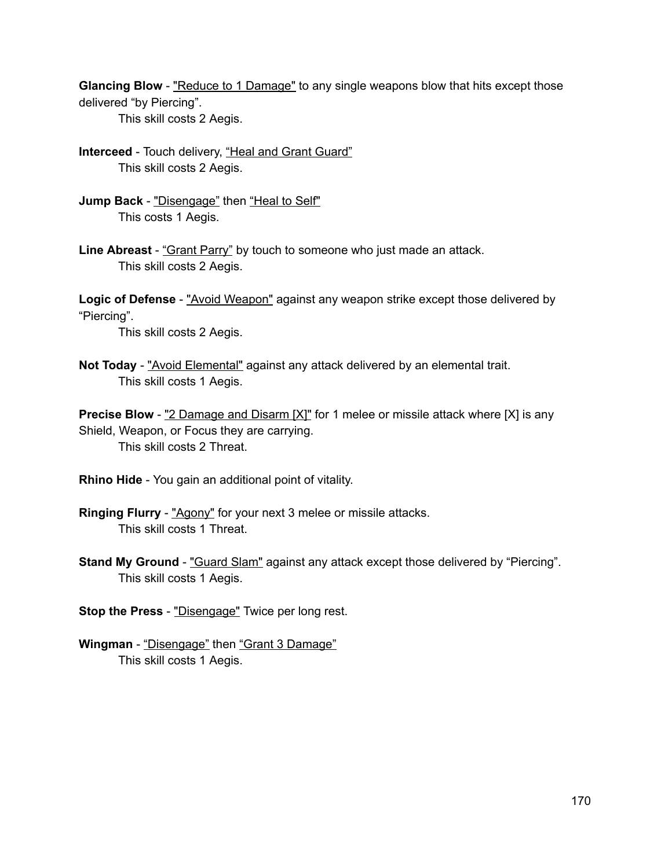**Glancing Blow** - "Reduce to 1 Damage" to any single weapons blow that hits except those delivered "by Piercing".

This skill costs 2 Aegis.

- **Interceed** Touch delivery, "Heal and Grant Guard" This skill costs 2 Aegis.
- **Jump Back** "Disengage" then "Heal to Self" This costs 1 Aegis.
- Line Abreast "Grant Parry" by touch to someone who just made an attack. This skill costs 2 Aegis.

**Logic of Defense** - "Avoid Weapon" against any weapon strike except those delivered by "Piercing".

This skill costs 2 Aegis.

**Not Today** - "Avoid Elemental" against any attack delivered by an elemental trait. This skill costs 1 Aegis.

**Precise Blow** - "2 Damage and Disarm [X]" for 1 melee or missile attack where [X] is any Shield, Weapon, or Focus they are carrying. This skill costs 2 Threat.

- **Rhino Hide** You gain an additional point of vitality.
- **Ringing Flurry** "Agony" for your next 3 melee or missile attacks. This skill costs 1 Threat.
- **Stand My Ground** "Guard Slam" against any attack except those delivered by "Piercing". This skill costs 1 Aegis.
- **Stop the Press** "Disengage" Twice per long rest.
- **Wingman** "Disengage" then "Grant 3 Damage" This skill costs 1 Aegis.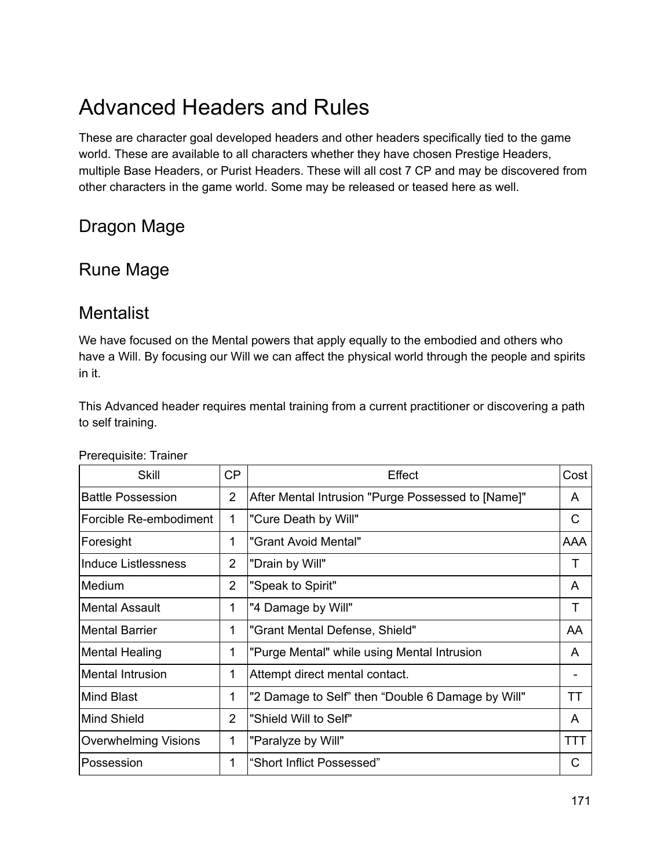# Advanced Headers and Rules

These are character goal developed headers and other headers specifically tied to the game world. These are available to all characters whether they have chosen Prestige Headers, multiple Base Headers, or Purist Headers. These will all cost 7 CP and may be discovered from other characters in the game world. Some may be released or teased here as well.

# Dragon Mage

## Rune Mage

## **Mentalist**

We have focused on the Mental powers that apply equally to the embodied and others who have a Will. By focusing our Will we can affect the physical world through the people and spirits in it.

This Advanced header requires mental training from a current practitioner or discovering a path to self training.

| <b>Skill</b>                | CP             | Effect                                             | Cost       |
|-----------------------------|----------------|----------------------------------------------------|------------|
| <b>Battle Possession</b>    | $\overline{2}$ | After Mental Intrusion "Purge Possessed to [Name]" | A          |
| Forcible Re-embodiment      | 1              | "Cure Death by Will"                               | С          |
| Foresight                   | 1              | "Grant Avoid Mental"                               | <b>AAA</b> |
| <b>Induce Listlessness</b>  | $\overline{2}$ | "Drain by Will"                                    | Τ          |
| Medium                      | $\overline{2}$ | "Speak to Spirit"                                  | A          |
| <b>Mental Assault</b>       | 1              | "4 Damage by Will"                                 | Τ          |
| <b>Mental Barrier</b>       | 1              | "Grant Mental Defense, Shield"                     | AA         |
| Mental Healing              | 1              | "Purge Mental" while using Mental Intrusion        | A          |
| <b>Mental Intrusion</b>     | 1              | Attempt direct mental contact.                     |            |
| <b>Mind Blast</b>           | 1              | "2 Damage to Self" then "Double 6 Damage by Will"  | ТT         |
| <b>Mind Shield</b>          | $\overline{2}$ | "Shield Will to Self"                              | A          |
| <b>Overwhelming Visions</b> | 1              | "Paralyze by Will"                                 | TTT        |
| Possession                  | 1              | "Short Inflict Possessed"                          | C          |

Prerequisite: Trainer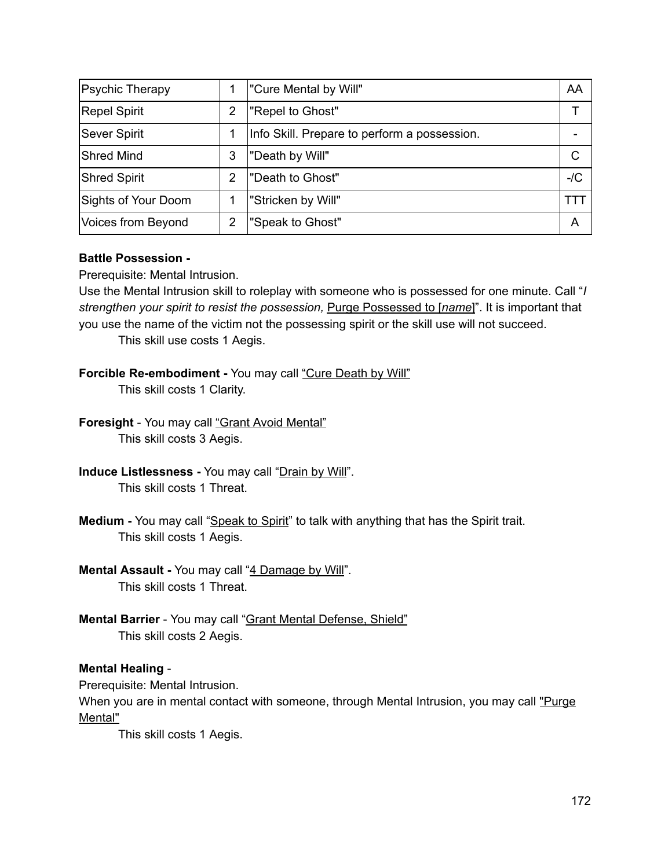| <b>Psychic Therapy</b> |   | "Cure Mental by Will"                        | AA    |
|------------------------|---|----------------------------------------------|-------|
| Repel Spirit           | 2 | "Repel to Ghost"                             |       |
| <b>Sever Spirit</b>    |   | Info Skill. Prepare to perform a possession. |       |
| <b>Shred Mind</b>      | 3 | "Death by Will"                              | C     |
| <b>Shred Spirit</b>    | 2 | "Death to Ghost"                             | $-/C$ |
| Sights of Your Doom    |   | "Stricken by Will"                           | TΤ    |
| Voices from Beyond     | 2 | "Speak to Ghost"                             | A     |

#### **Battle Possession**

Prerequisite: Mental Intrusion.

Use the Mental Intrusion skill to roleplay with someone who is possessed for one minute. Call "*I strengthen your spirit to resist the possession,* Purge Possessed to [*name*]". It is important that you use the name of the victim not the possessing spirit or the skill use will not succeed.

This skill use costs 1 Aegis.

### **Forcible Re-embodiment** - You may call "Cure Death by Will"

This skill costs 1 Clarity.

- **Foresight** You may call "Grant Avoid Mental" This skill costs 3 Aegis.
- **Induce Listlessness You may call "Drain by Will".** This skill costs 1 Threat.
- **Medium** You may call "Speak to Spirit" to talk with anything that has the Spirit trait. This skill costs 1 Aegis.
- **Mental Assault** You may call "4 Damage by Will". This skill costs 1 Threat.
- **Mental Barrier** You may call "Grant Mental Defense, Shield" This skill costs 2 Aegis.

#### **Mental Healing**

Prerequisite: Mental Intrusion.

When you are in mental contact with someone, through Mental Intrusion, you may call "Purge Mental"

This skill costs 1 Aegis.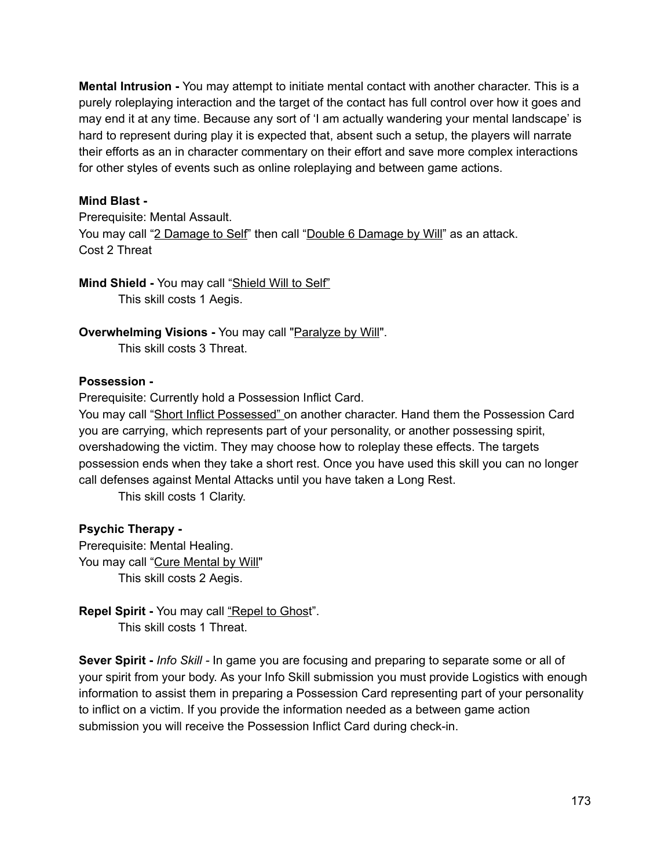**Mental Intrusion** You may attempt to initiate mental contact with another character. This is a purely roleplaying interaction and the target of the contact has full control over how it goes and may end it at any time. Because any sort of 'I am actually wandering your mental landscape' is hard to represent during play it is expected that, absent such a setup, the players will narrate their efforts as an in character commentary on their effort and save more complex interactions for other styles of events such as online roleplaying and between game actions.

#### **Mind Blast**

Prerequisite: Mental Assault. You may call "2 Damage to Self" then call "Double 6 Damage by Will" as an attack. Cost 2 Threat

#### **Mind Shield** You may call "Shield Will to Self" This skill costs 1 Aegis.

**Overwhelming Visions** You may call "Paralyze by Will". This skill costs 3 Threat.

#### **Possession**

Prerequisite: Currently hold a Possession Inflict Card.

You may call "Short Inflict Possessed" on another character. Hand them the Possession Card you are carrying, which represents part of your personality, or another possessing spirit, overshadowing the victim. They may choose how to roleplay these effects. The targets possession ends when they take a short rest. Once you have used this skill you can no longer call defenses against Mental Attacks until you have taken a Long Rest.

This skill costs 1 Clarity.

#### **Psychic Therapy**

Prerequisite: Mental Healing. You may call "Cure Mental by Will" This skill costs 2 Aegis.

**Repel Spirit** You may call "Repel to Ghost". This skill costs 1 Threat.

**Sever Spirit** *Info Skill* In game you are focusing and preparing to separate some or all of your spirit from your body. As your Info Skill submission you must provide Logistics with enough information to assist them in preparing a Possession Card representing part of your personality to inflict on a victim. If you provide the information needed as a between game action submission you will receive the Possession Inflict Card during check-in.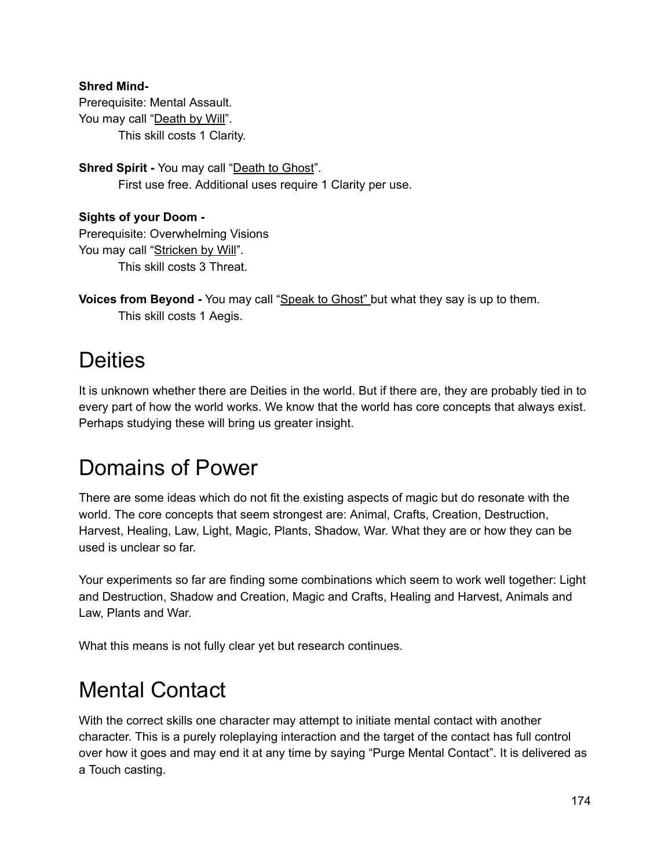#### **Shred Mind-**

Prerequisite: Mental Assault. You may call "Death by Will". This skill costs 1 Clarity.

**Shred Spirit - You may call "Death to Ghost".** First use free. Additional uses require 1 Clarity per use.

**Sights of your Doom** Prerequisite: Overwhelming Visions You may call "Stricken by Will". This skill costs 3 Threat.

```
Voices from Beyond - You may call "Speak to Ghost" but what they say is up to them.
       This skill costs 1 Aegis.
```
# **Deities**

It is unknown whether there are Deities in the world. But if there are, they are probably tied in to every part of how the world works. We know that the world has core concepts that always exist. Perhaps studying these will bring us greater insight.

# Domains of Power

There are some ideas which do not fit the existing aspects of magic but do resonate with the world. The core concepts that seem strongest are: Animal, Crafts, Creation, Destruction, Harvest, Healing, Law, Light, Magic, Plants, Shadow, War. What they are or how they can be used is unclear so far.

Your experiments so far are finding some combinations which seem to work well together: Light and Destruction, Shadow and Creation, Magic and Crafts, Healing and Harvest, Animals and Law, Plants and War.

What this means is not fully clear yet but research continues.

# Mental Contact

With the correct skills one character may attempt to initiate mental contact with another character. This is a purely roleplaying interaction and the target of the contact has full control over how it goes and may end it at any time by saying "Purge Mental Contact". It is delivered as a Touch casting.